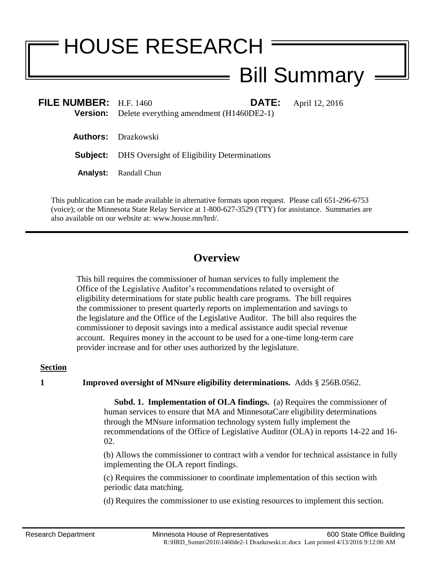# HOUSE RESEARCH Bill Summary

| FILE NUMBER: $H.F. 1460$ | <b>Version:</b> Delete everything amendment (H1460DE2-1)    | <b>DATE:</b> | April 12, 2016 |
|--------------------------|-------------------------------------------------------------|--------------|----------------|
|                          | <b>Authors:</b> Drazkowski                                  |              |                |
|                          | <b>Subject:</b> DHS Oversight of Eligibility Determinations |              |                |
|                          | <b>Analyst:</b> Randall Chun                                |              |                |
|                          |                                                             |              |                |

This publication can be made available in alternative formats upon request. Please call 651-296-6753 (voice); or the Minnesota State Relay Service at 1-800-627-3529 (TTY) for assistance. Summaries are also available on our website at: www.house.mn/hrd/.

## **Overview**

This bill requires the commissioner of human services to fully implement the Office of the Legislative Auditor's recommendations related to oversight of eligibility determinations for state public health care programs. The bill requires the commissioner to present quarterly reports on implementation and savings to the legislature and the Office of the Legislative Auditor. The bill also requires the commissioner to deposit savings into a medical assistance audit special revenue account. Requires money in the account to be used for a one-time long-term care provider increase and for other uses authorized by the legislature.

### **Section**

**1 Improved oversight of MNsure eligibility determinations.** Adds § 256B.0562.

 **Subd. 1. Implementation of OLA findings.** (a) Requires the commissioner of human services to ensure that MA and MinnesotaCare eligibility determinations through the MNsure information technology system fully implement the recommendations of the Office of Legislative Auditor (OLA) in reports 14-22 and 16- 02.

(b) Allows the commissioner to contract with a vendor for technical assistance in fully implementing the OLA report findings.

(c) Requires the commissioner to coordinate implementation of this section with periodic data matching.

(d) Requires the commissioner to use existing resources to implement this section.